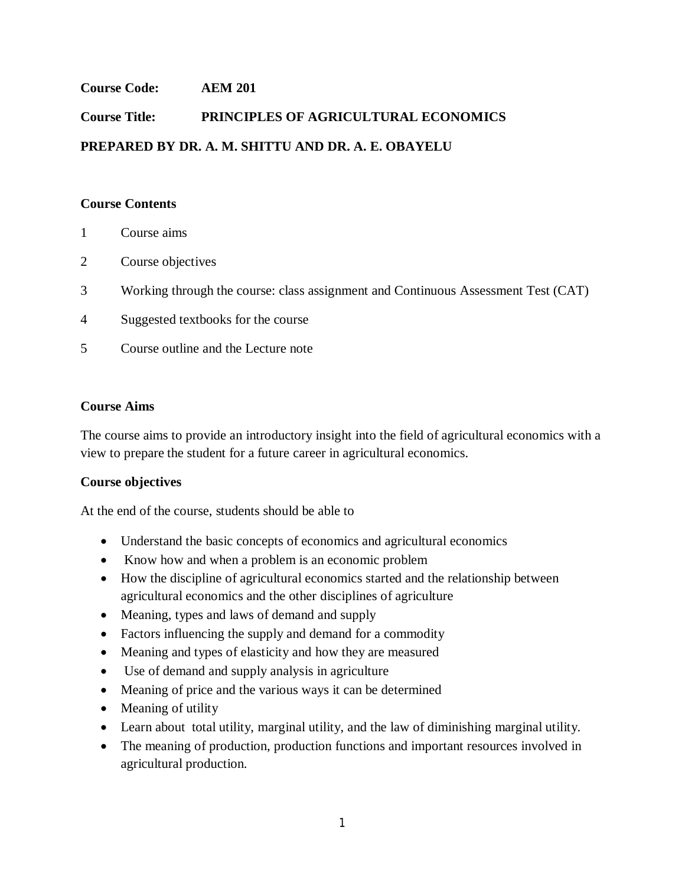# **Course Code: AEM 201**

# **Course Title: PRINCIPLES OF AGRICULTURAL ECONOMICS PREPARED BY DR. A. M. SHITTU AND DR. A. E. OBAYELU**

## **Course Contents**

- 1 Course aims
- 2 Course objectives
- 3 Working through the course: class assignment and Continuous Assessment Test (CAT)
- 4 Suggested textbooks for the course
- 5 Course outline and the Lecture note

## **Course Aims**

The course aims to provide an introductory insight into the field of agricultural economics with a view to prepare the student for a future career in agricultural economics.

# **Course objectives**

At the end of the course, students should be able to

- Understand the basic concepts of economics and agricultural economics
- Know how and when a problem is an economic problem
- How the discipline of agricultural economics started and the relationship between agricultural economics and the other disciplines of agriculture
- Meaning, types and laws of demand and supply
- Factors influencing the supply and demand for a commodity
- Meaning and types of elasticity and how they are measured
- Use of demand and supply analysis in agriculture
- Meaning of price and the various ways it can be determined
- Meaning of utility
- Learn about total utility, marginal utility, and the law of diminishing marginal utility.
- The meaning of production, production functions and important resources involved in agricultural production.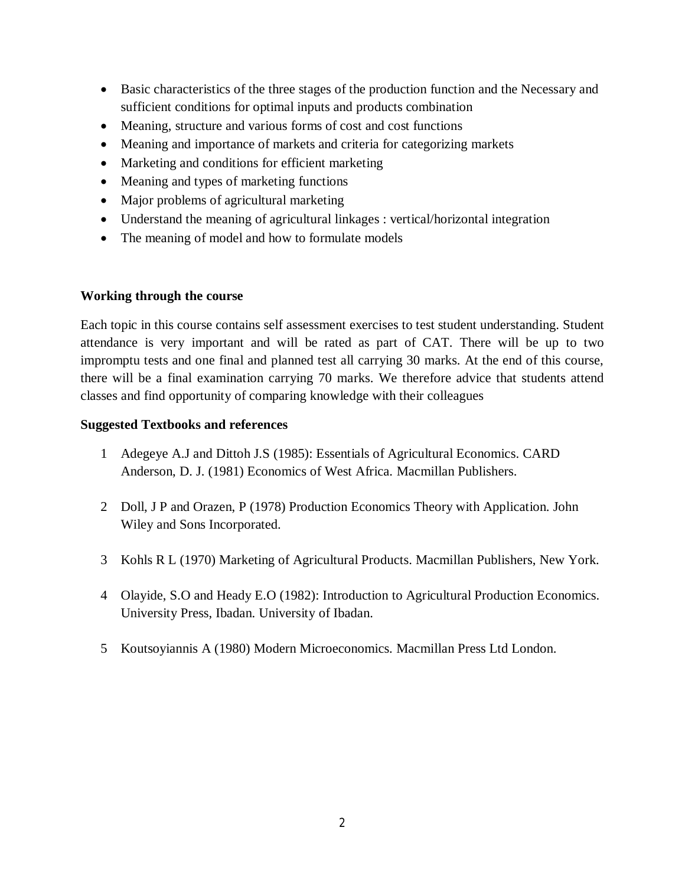- Basic characteristics of the three stages of the production function and the Necessary and sufficient conditions for optimal inputs and products combination
- Meaning, structure and various forms of cost and cost functions
- Meaning and importance of markets and criteria for categorizing markets
- Marketing and conditions for efficient marketing
- Meaning and types of marketing functions
- Major problems of agricultural marketing
- Understand the meaning of agricultural linkages : vertical/horizontal integration
- The meaning of model and how to formulate models

# **Working through the course**

Each topic in this course contains self assessment exercises to test student understanding. Student attendance is very important and will be rated as part of CAT. There will be up to two impromptu tests and one final and planned test all carrying 30 marks. At the end of this course, there will be a final examination carrying 70 marks. We therefore advice that students attend classes and find opportunity of comparing knowledge with their colleagues

# **Suggested Textbooks and references**

- 1 Adegeye A.J and Dittoh J.S (1985): Essentials of Agricultural Economics. CARD Anderson, D. J. (1981) Economics of West Africa. Macmillan Publishers.
- 2 Doll, J P and Orazen, P (1978) Production Economics Theory with Application. John Wiley and Sons Incorporated.
- 3 Kohls R L (1970) Marketing of Agricultural Products. Macmillan Publishers, New York.
- 4 Olayide, S.O and Heady E.O (1982): Introduction to Agricultural Production Economics. University Press, Ibadan. University of Ibadan.
- 5 Koutsoyiannis A (1980) Modern Microeconomics. Macmillan Press Ltd London.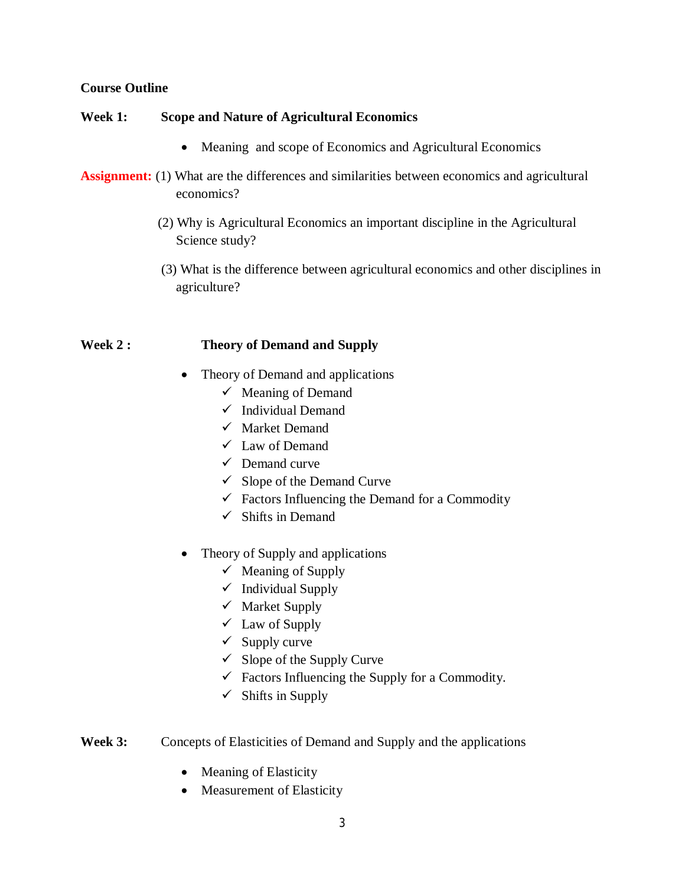## **Course Outline**

## **Week 1: Scope and Nature of Agricultural Economics**

- Meaning and scope of Economics and Agricultural Economics
- **Assignment:** (1) What are the differences and similarities between economics and agricultural economics?
	- (2) Why is Agricultural Economics an important discipline in the Agricultural Science study?
	- (3) What is the difference between agricultural economics and other disciplines in agriculture?

#### **Week 2 : Theory of Demand and Supply**

- Theory of Demand and applications
	- $\checkmark$  Meaning of Demand
	- $\checkmark$  Individual Demand
	- $\checkmark$  Market Demand
	- $\checkmark$  Law of Demand
	- $\checkmark$  Demand curve
	- $\checkmark$  Slope of the Demand Curve
	- $\checkmark$  Factors Influencing the Demand for a Commodity
	- $\checkmark$  Shifts in Demand
- Theory of Supply and applications
	- $\checkmark$  Meaning of Supply
	- $\checkmark$  Individual Supply
	- $\checkmark$  Market Supply
	- $\checkmark$  Law of Supply
	- $\checkmark$  Supply curve
	- $\checkmark$  Slope of the Supply Curve
	- $\checkmark$  Factors Influencing the Supply for a Commodity.
	- $\checkmark$  Shifts in Supply
- **Week 3:** Concepts of Elasticities of Demand and Supply and the applications
	- Meaning of Elasticity
	- Measurement of Elasticity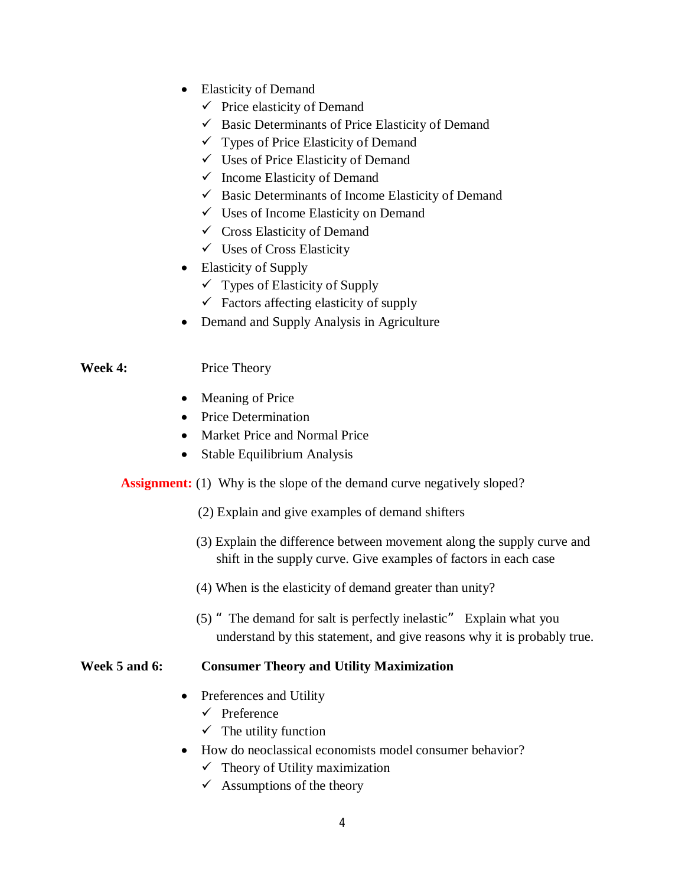- Elasticity of Demand
	- $\checkmark$  Price elasticity of Demand
	- $\checkmark$  Basic Determinants of Price Elasticity of Demand
	- $\checkmark$  Types of Price Elasticity of Demand
	- $\checkmark$  Uses of Price Elasticity of Demand
	- $\checkmark$  Income Elasticity of Demand
	- $\checkmark$  Basic Determinants of Income Elasticity of Demand
	- $\checkmark$  Uses of Income Elasticity on Demand
	- $\checkmark$  Cross Elasticity of Demand
	- $\checkmark$  Uses of Cross Elasticity
- Elasticity of Supply
	- $\checkmark$  Types of Elasticity of Supply
	- $\checkmark$  Factors affecting elasticity of supply
- Demand and Supply Analysis in Agriculture

## **Week 4:** Price Theory

- Meaning of Price
- Price Determination
- Market Price and Normal Price
- Stable Equilibrium Analysis
- **Assignment:** (1) Why is the slope of the demand curve negatively sloped?
	- (2) Explain and give examples of demand shifters
	- (3) Explain the difference between movement along the supply curve and shift in the supply curve. Give examples of factors in each case
	- (4) When is the elasticity of demand greater than unity?
	- (5) "The demand for salt is perfectly inelastic" Explain what you understand by this statement, and give reasons why it is probably true.

## **Week 5 and 6: Consumer Theory and Utility Maximization**

- Preferences and Utility
	- $\checkmark$  Preference
	- $\checkmark$  The utility function
- How do neoclassical economists model consumer behavior?
	- $\checkmark$  Theory of Utility maximization
	- $\checkmark$  Assumptions of the theory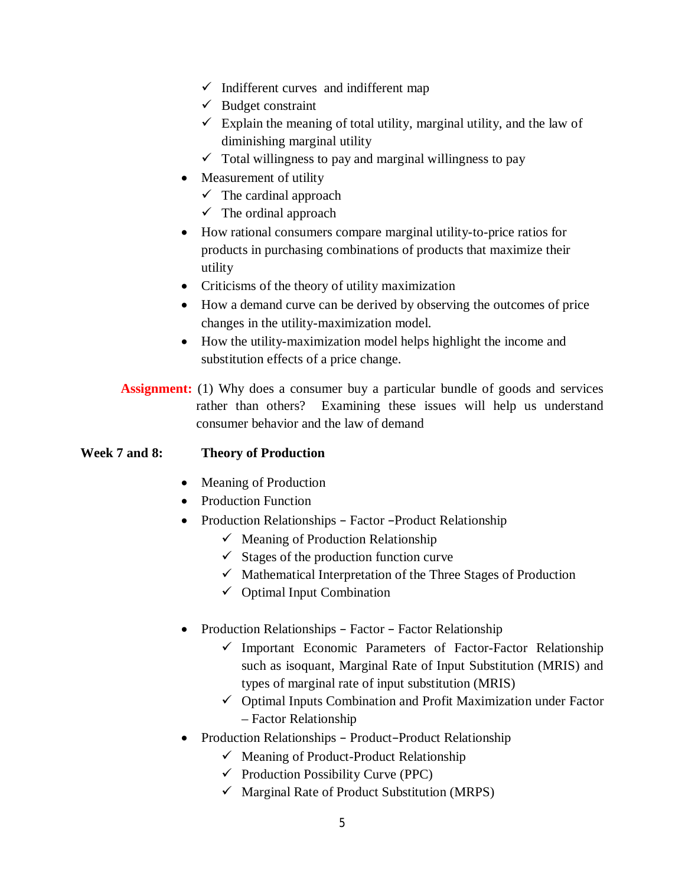- $\checkmark$  Indifferent curves and indifferent map
- $\checkmark$  Budget constraint
- $\checkmark$  Explain the meaning of total utility, marginal utility, and the law of diminishing marginal utility
- $\checkmark$  Total willingness to pay and marginal willingness to pay
- Measurement of utility
	- $\checkmark$  The cardinal approach
	- $\checkmark$  The ordinal approach
- How rational consumers compare marginal utility-to-price ratios for products in purchasing combinations of products that maximize their utility
- Criticisms of the theory of utility maximization
- How a demand curve can be derived by observing the outcomes of price changes in the utility-maximization model.
- How the utility-maximization model helps highlight the income and substitution effects of a price change.

**Assignment:** (1) Why does a consumer buy a particular bundle of goods and services rather than others? Examining these issues will help us understand consumer behavior and the law of demand

## **Week 7 and 8: Theory of Production**

- Meaning of Production
- Production Function
- Production Relationships Factor Product Relationship
	- $\checkmark$  Meaning of Production Relationship
	- $\checkmark$  Stages of the production function curve
	- $\checkmark$  Mathematical Interpretation of the Three Stages of Production
	- $\checkmark$  Optimal Input Combination
- Production Relationships Factor Factor Relationship
	- $\checkmark$  Important Economic Parameters of Factor-Factor Relationship such as isoquant, Marginal Rate of Input Substitution (MRIS) and types of marginal rate of input substitution (MRIS)
	- $\checkmark$  Optimal Inputs Combination and Profit Maximization under Factor – Factor Relationship
- Production Relationships Product–Product Relationship
	- $\checkmark$  Meaning of Product-Product Relationship
	- $\checkmark$  Production Possibility Curve (PPC)
	- $\checkmark$  Marginal Rate of Product Substitution (MRPS)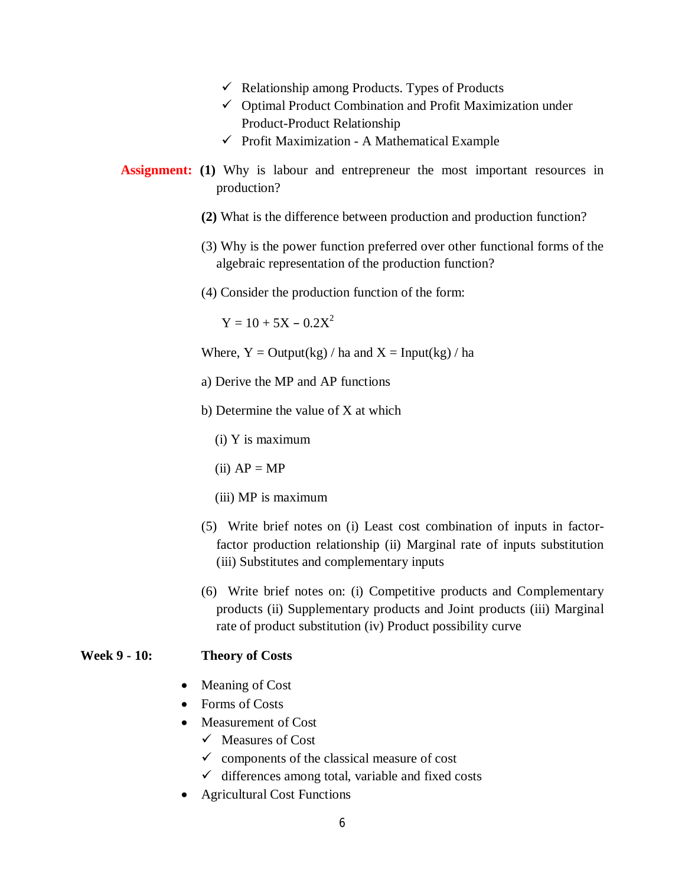- $\checkmark$  Relationship among Products. Types of Products
- $\checkmark$  Optimal Product Combination and Profit Maximization under Product-Product Relationship
- $\checkmark$  Profit Maximization A Mathematical Example
- **Assignment:** (1) Why is labour and entrepreneur the most important resources in production?
	- **(2)** What is the difference between production and production function?
	- (3) Why is the power function preferred over other functional forms of the algebraic representation of the production function?
	- (4) Consider the production function of the form:

 $Y = 10 + 5X - 0.2X^2$ 

Where,  $Y = Output(kg) / ha$  and  $X = Input(kg) / ha$ 

- a) Derive the MP and AP functions
- b) Determine the value of X at which

(i) Y is maximum

 $(ii) AP = MP$ 

(iii) MP is maximum

- (5) Write brief notes on (i) Least cost combination of inputs in factorfactor production relationship (ii) Marginal rate of inputs substitution (iii) Substitutes and complementary inputs
- (6) Write brief notes on: (i) Competitive products and Complementary products (ii) Supplementary products and Joint products (iii) Marginal rate of product substitution (iv) Product possibility curve

#### **Week 9 - 10: Theory of Costs**

- Meaning of Cost
- Forms of Costs
- Measurement of Cost
	- $\checkmark$  Measures of Cost
	- $\checkmark$  components of the classical measure of cost
	- $\checkmark$  differences among total, variable and fixed costs
- Agricultural Cost Functions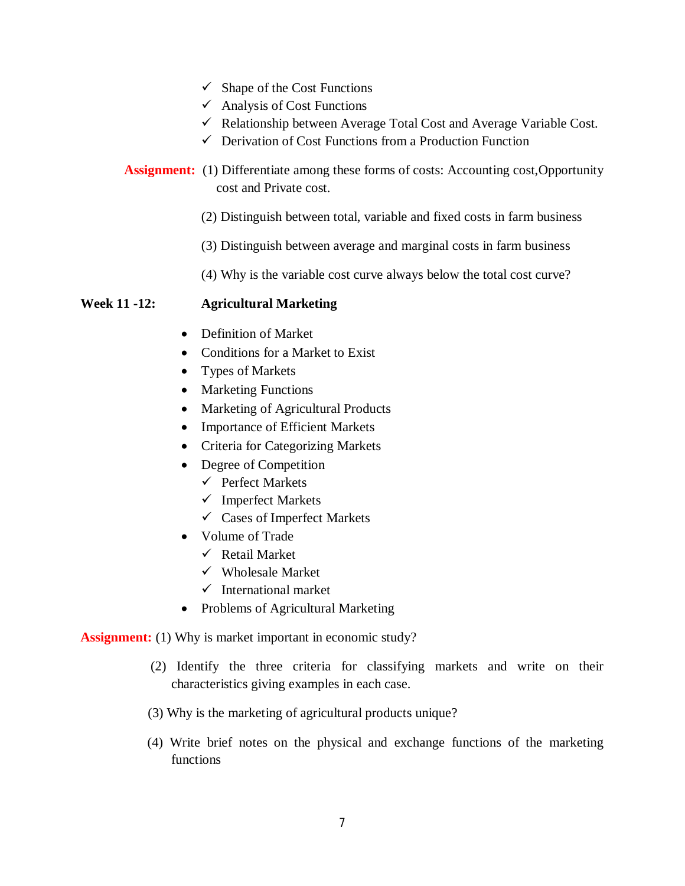- $\checkmark$  Shape of the Cost Functions
- $\checkmark$  Analysis of Cost Functions
- $\checkmark$  Relationship between Average Total Cost and Average Variable Cost.
- $\checkmark$  Derivation of Cost Functions from a Production Function
- **Assignment:** (1) Differentiate among these forms of costs: Accounting cost, Opportunity cost and Private cost.
	- (2) Distinguish between total, variable and fixed costs in farm business
	- (3) Distinguish between average and marginal costs in farm business
	- (4) Why is the variable cost curve always below the total cost curve?

## **Week 11 -12: Agricultural Marketing**

- Definition of Market
- Conditions for a Market to Exist
- Types of Markets
- Marketing Functions
- Marketing of Agricultural Products
- Importance of Efficient Markets
- Criteria for Categorizing Markets
- Degree of Competition
	- $\checkmark$  Perfect Markets
	- $\checkmark$  Imperfect Markets
	- Cases of Imperfect Markets
- Volume of Trade
	- $\checkmark$  Retail Market
	- $\checkmark$  Wholesale Market
	- $\checkmark$  International market
- Problems of Agricultural Marketing

**Assignment:** (1) Why is market important in economic study?

- (2) Identify the three criteria for classifying markets and write on their characteristics giving examples in each case.
- (3) Why is the marketing of agricultural products unique?
- (4) Write brief notes on the physical and exchange functions of the marketing functions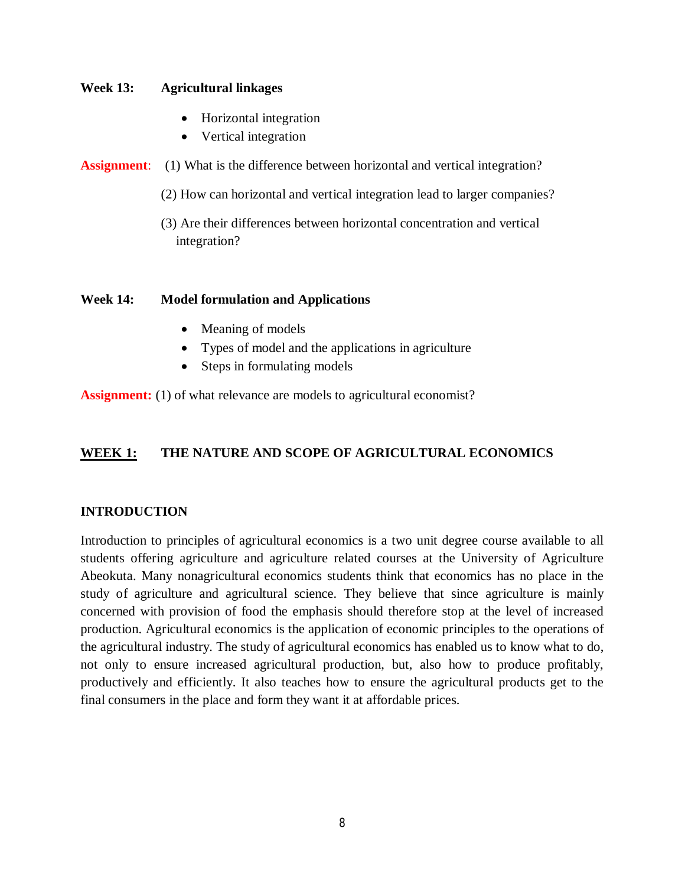#### **Week 13: Agricultural linkages**

- Horizontal integration
- Vertical integration
- **Assignment:** (1) What is the difference between horizontal and vertical integration?
	- (2) How can horizontal and vertical integration lead to larger companies?
	- (3) Are their differences between horizontal concentration and vertical integration?

## **Week 14: Model formulation and Applications**

- Meaning of models
- Types of model and the applications in agriculture
- Steps in formulating models

**Assignment:** (1) of what relevance are models to agricultural economist?

# **WEEK 1: THE NATURE AND SCOPE OF AGRICULTURAL ECONOMICS**

# **INTRODUCTION**

Introduction to principles of agricultural economics is a two unit degree course available to all students offering agriculture and agriculture related courses at the University of Agriculture Abeokuta. Many nonagricultural economics students think that economics has no place in the study of agriculture and agricultural science. They believe that since agriculture is mainly concerned with provision of food the emphasis should therefore stop at the level of increased production. Agricultural economics is the application of economic principles to the operations of the agricultural industry. The study of agricultural economics has enabled us to know what to do, not only to ensure increased agricultural production, but, also how to produce profitably, productively and efficiently. It also teaches how to ensure the agricultural products get to the final consumers in the place and form they want it at affordable prices.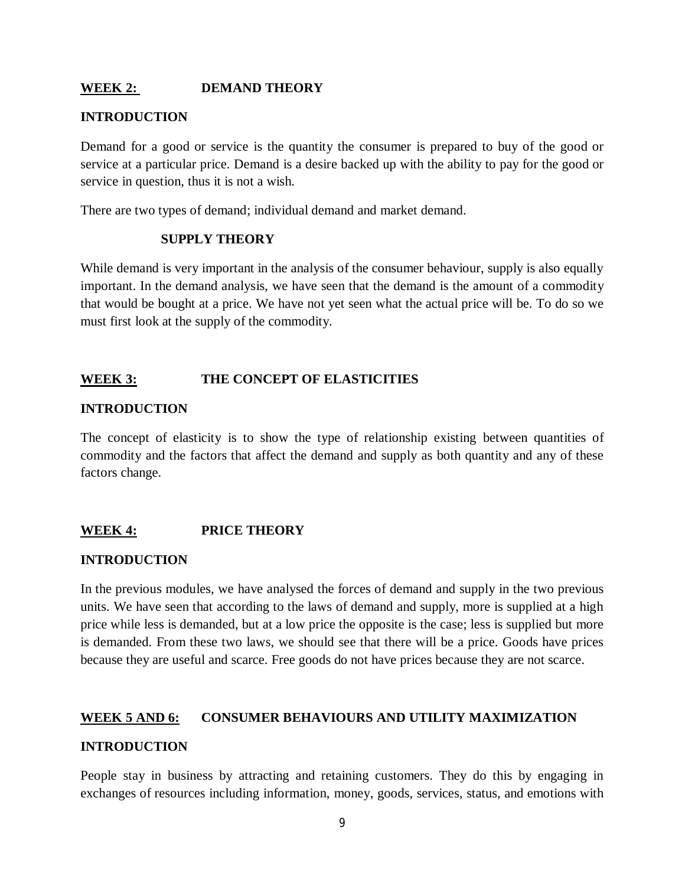## **WEEK 2: DEMAND THEORY**

## **INTRODUCTION**

Demand for a good or service is the quantity the consumer is prepared to buy of the good or service at a particular price. Demand is a desire backed up with the ability to pay for the good or service in question, thus it is not a wish.

There are two types of demand; individual demand and market demand.

#### **SUPPLY THEORY**

While demand is very important in the analysis of the consumer behaviour, supply is also equally important. In the demand analysis, we have seen that the demand is the amount of a commodity that would be bought at a price. We have not yet seen what the actual price will be. To do so we must first look at the supply of the commodity.

## **WEEK 3: THE CONCEPT OF ELASTICITIES**

## **INTRODUCTION**

The concept of elasticity is to show the type of relationship existing between quantities of commodity and the factors that affect the demand and supply as both quantity and any of these factors change.

## **WEEK 4: PRICE THEORY**

#### **INTRODUCTION**

In the previous modules, we have analysed the forces of demand and supply in the two previous units. We have seen that according to the laws of demand and supply, more is supplied at a high price while less is demanded, but at a low price the opposite is the case; less is supplied but more is demanded. From these two laws, we should see that there will be a price. Goods have prices because they are useful and scarce. Free goods do not have prices because they are not scarce.

## **WEEK 5 AND 6: CONSUMER BEHAVIOURS AND UTILITY MAXIMIZATION**

#### **INTRODUCTION**

People stay in business by attracting and retaining customers. They do this by engaging in exchanges of resources including information, money, goods, services, status, and emotions with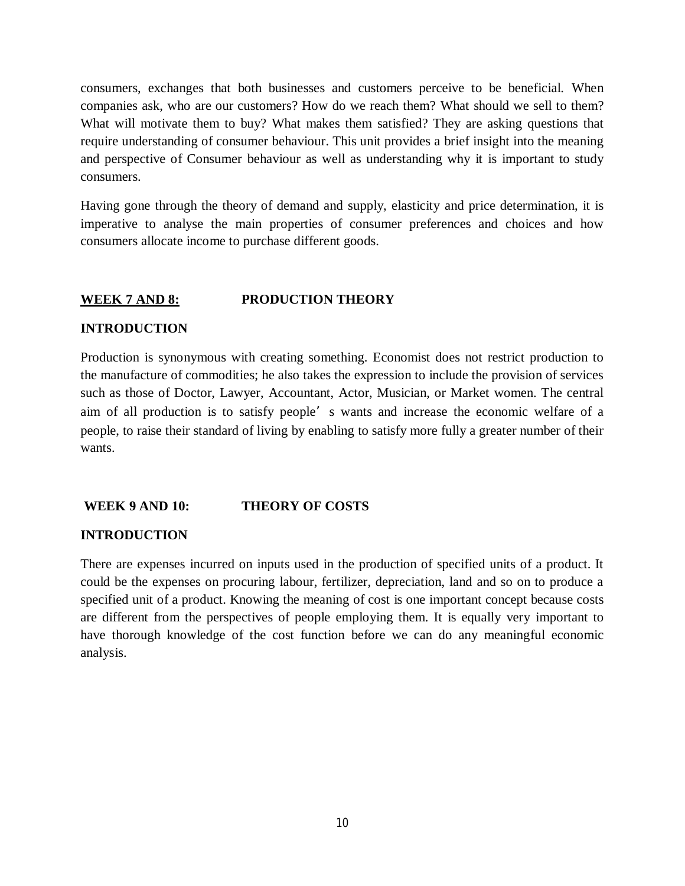consumers, exchanges that both businesses and customers perceive to be beneficial. When companies ask, who are our customers? How do we reach them? What should we sell to them? What will motivate them to buy? What makes them satisfied? They are asking questions that require understanding of consumer behaviour. This unit provides a brief insight into the meaning and perspective of Consumer behaviour as well as understanding why it is important to study consumers.

Having gone through the theory of demand and supply, elasticity and price determination, it is imperative to analyse the main properties of consumer preferences and choices and how consumers allocate income to purchase different goods.

## **WEEK 7 AND 8: PRODUCTION THEORY**

#### **INTRODUCTION**

Production is synonymous with creating something. Economist does not restrict production to the manufacture of commodities; he also takes the expression to include the provision of services such as those of Doctor, Lawyer, Accountant, Actor, Musician, or Market women. The central aim of all production is to satisfy people's wants and increase the economic welfare of a people, to raise their standard of living by enabling to satisfy more fully a greater number of their wants.

## **WEEK 9 AND 10: THEORY OF COSTS**

## **INTRODUCTION**

There are expenses incurred on inputs used in the production of specified units of a product. It could be the expenses on procuring labour, fertilizer, depreciation, land and so on to produce a specified unit of a product. Knowing the meaning of cost is one important concept because costs are different from the perspectives of people employing them. It is equally very important to have thorough knowledge of the cost function before we can do any meaningful economic analysis.